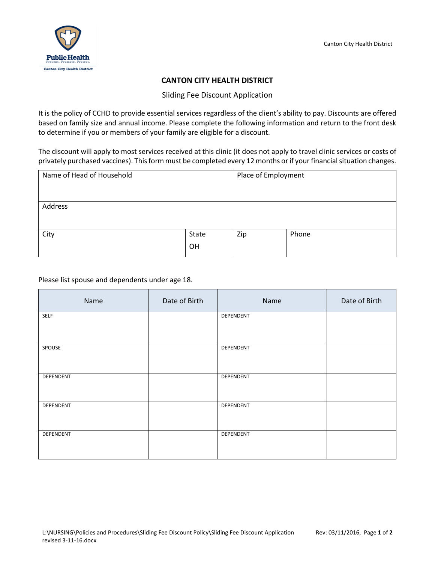

## **CANTON CITY HEALTH DISTRICT**

## Sliding Fee Discount Application

It is the policy of CCHD to provide essential services regardless of the client's ability to pay. Discounts are offered based on family size and annual income. Please complete the following information and return to the front desk to determine if you or members of your family are eligible for a discount.

The discount will apply to most services received at this clinic (it does not apply to travel clinic services or costs of privately purchased vaccines). This form must be completed every 12 months or if your financial situation changes.

| Name of Head of Household |       | Place of Employment |       |
|---------------------------|-------|---------------------|-------|
|                           |       |                     |       |
| Address                   |       |                     |       |
|                           |       |                     |       |
| City                      | State | Zip                 | Phone |
|                           | OH    |                     |       |

Please list spouse and dependents under age 18.

| Name      | Date of Birth | Name      | Date of Birth |
|-----------|---------------|-----------|---------------|
| SELF      |               | DEPENDENT |               |
| SPOUSE    |               | DEPENDENT |               |
| DEPENDENT |               | DEPENDENT |               |
| DEPENDENT |               | DEPENDENT |               |
| DEPENDENT |               | DEPENDENT |               |